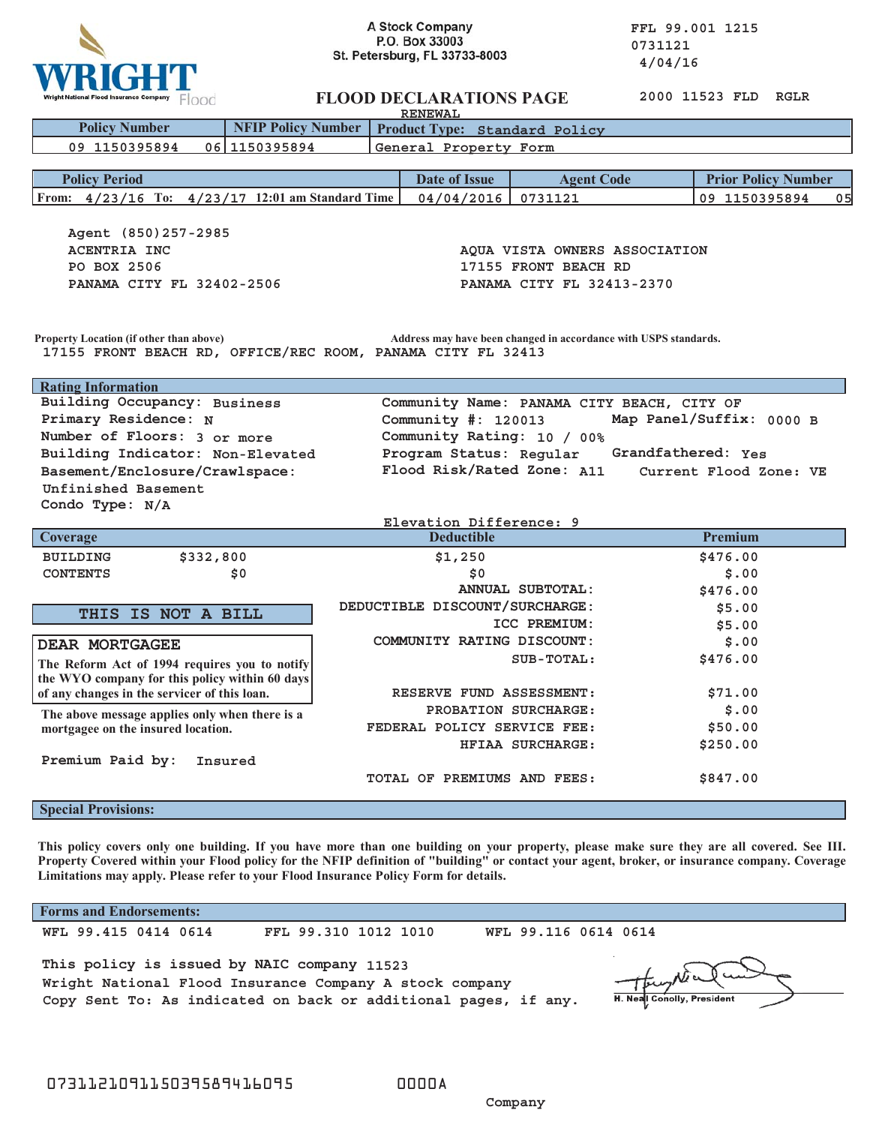

**A Stock Company**<br> **P.O. Box 33003**<br> **P.O. Box 33003**<br> **COMPANY**<br> **COMPANY** 

| 2000 11523 FLD<br><b>FLOOD DECLARATIONS PAGE</b><br>RGLR<br>Wright National Flood Insurance Company FOOO<br><b>RENEWAL</b>                                                    |                                            |                         |                                 |
|-------------------------------------------------------------------------------------------------------------------------------------------------------------------------------|--------------------------------------------|-------------------------|---------------------------------|
| <b>NFIP Policy Number</b><br><b>Policy Number</b>                                                                                                                             | Product Type: Standard Policy              |                         |                                 |
| General Property Form<br>09 1150395894<br>06 1150395894                                                                                                                       |                                            |                         |                                 |
|                                                                                                                                                                               |                                            |                         |                                 |
| <b>Policy Period</b>                                                                                                                                                          | Date of Issue                              | <b>Agent Code</b>       | <b>Prior Policy Number</b>      |
| From: 4/23/16 To: 4/23/17 12:01 am Standard Time                                                                                                                              | 04/04/2016                                 | 0731121                 | 09 1150395894<br>0 <sub>5</sub> |
| Agent (850) 257-2985<br><b>ACENTRIA INC</b><br>AQUA VISTA OWNERS ASSOCIATION<br>PO BOX 2506<br>17155 FRONT BEACH RD<br>PANAMA CITY FL 32413-2370<br>PANAMA CITY FL 32402-2506 |                                            |                         |                                 |
| Property Location (if other than above)<br>Address may have been changed in accordance with USPS standards.<br>17155 FRONT BEACH RD, OFFICE/REC ROOM, PANAMA CITY FL 32413    |                                            |                         |                                 |
| <b>Rating Information</b>                                                                                                                                                     |                                            |                         |                                 |
| Building Occupancy: Business                                                                                                                                                  | Community Name: PANAMA CITY BEACH, CITY OF |                         |                                 |
| Primary Residence: N<br>Map Panel/Suffix: 0000 B<br>Community $\#: 120013$                                                                                                    |                                            |                         |                                 |
| Number of Floors: 3 or more<br>Community Rating: 10 / 00%                                                                                                                     |                                            |                         |                                 |
| Building Indicator: Non-Elevated<br>Program Status: Regular<br>Grandfathered: Yes                                                                                             |                                            |                         |                                 |
| Flood Risk/Rated Zone: A11<br>Basement/Enclosure/Crawlspace:<br>Current Flood Zone: VE                                                                                        |                                            |                         |                                 |
| Unfinished Basement                                                                                                                                                           |                                            |                         |                                 |
| Condo Type: $N/A$                                                                                                                                                             |                                            |                         |                                 |
|                                                                                                                                                                               | Elevation Difference: 9                    |                         |                                 |
| Coverage                                                                                                                                                                      | <b>Deductible</b>                          |                         | Premium                         |
| \$332,800<br><b>BUILDING</b>                                                                                                                                                  | \$1,250                                    |                         | \$476.00                        |
| <b>CONTENTS</b><br>\$0                                                                                                                                                        | \$0                                        |                         | \$.00                           |
|                                                                                                                                                                               |                                            | <b>ANNUAL SUBTOTAL:</b> | \$476.00                        |
| THIS IS NOT A BILL                                                                                                                                                            | DEDUCTIBLE DISCOUNT/SURCHARGE:             |                         | \$5.00                          |
|                                                                                                                                                                               |                                            | ICC PREMIUM:            | \$5.00                          |
| <b>DEAR MORTGAGEE</b>                                                                                                                                                         | COMMUNITY RATING DISCOUNT:                 |                         | \$.00                           |
| The Reform Act of 1994 requires you to notify                                                                                                                                 | SUB-TOTAL:                                 |                         | \$476.00                        |
| the WYO company for this policy within 60 days                                                                                                                                |                                            |                         |                                 |
| of any changes in the servicer of this loan.                                                                                                                                  | RESERVE FUND ASSESSMENT:                   | \$71.00                 |                                 |
| PROBATION SURCHARGE:<br>The above message applies only when there is a<br>FEDERAL POLICY SERVICE FEE:<br>mortgagee on the insured location.                                   |                                            |                         | \$.00                           |
|                                                                                                                                                                               |                                            |                         | \$50.00                         |
|                                                                                                                                                                               |                                            | HFIAA SURCHARGE:        | \$250.00                        |
| Premium Paid by:<br>Insured                                                                                                                                                   | TOTAL OF PREMIUMS AND FEES:                |                         | \$847.00                        |
| <b>Special Provisions:</b>                                                                                                                                                    |                                            |                         |                                 |

**This policy covers only one building. If you have more than one building on your property, please make sure they are all covered. See III. Property Covered within your Flood policy for the NFIP definition of "building" or contact your agent, broker, or insurance company. Coverage Limitations may apply. Please refer to your Flood Insurance Policy Form for details.**

**Forms and Endorsements:**

 **WFL 99.415 0414 0614 FFL 99.310 1012 1010 WFL 99.116 0614 0614**

**This policy is issued by NAIC company 11523 Wright National Flood Insurance Company A stock company Copy Sent To: As indicated on back or additional pages, if any.**

H. Neal Conolly, President

 **Company**